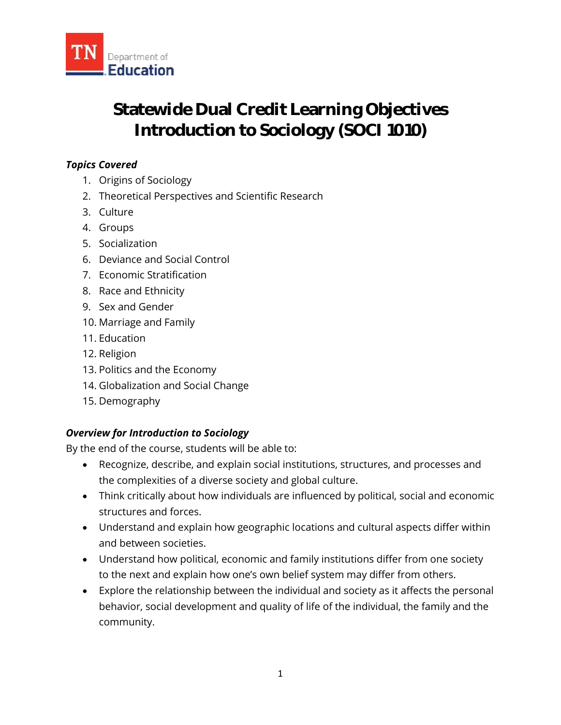

# **Statewide Dual Credit Learning Objectives Introduction to Sociology (SOCI 1010)**

# *Topics Covered*

- 1. Origins of Sociology
- 2. Theoretical Perspectives and Scientific Research
- 3. Culture
- 4. Groups
- 5. Socialization
- 6. Deviance and Social Control
- 7. Economic Stratification
- 8. Race and Ethnicity
- 9. Sex and Gender
- 10. Marriage and Family
- 11. Education
- 12. Religion
- 13. Politics and the Economy
- 14. Globalization and Social Change
- 15. Demography

# *Overview for Introduction to Sociology*

By the end of the course, students will be able to:

- Recognize, describe, and explain social institutions, structures, and processes and the complexities of a diverse society and global culture.
- Think critically about how individuals are influenced by political, social and economic structures and forces.
- Understand and explain how geographic locations and cultural aspects differ within and between societies.
- Understand how political, economic and family institutions differ from one society to the next and explain how one's own belief system may differ from others.
- Explore the relationship between the individual and society as it affects the personal behavior, social development and quality of life of the individual, the family and the community.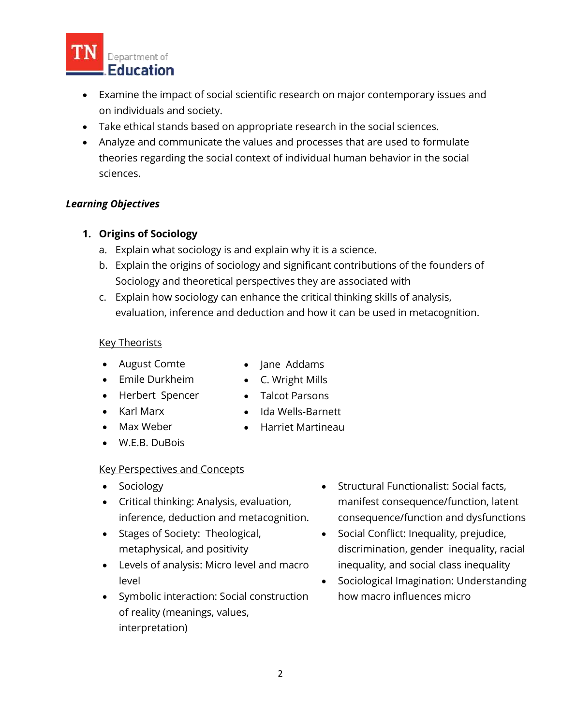

- Examine the impact of social scientific research on major contemporary issues and on individuals and society.
- Take ethical stands based on appropriate research in the social sciences.
- Analyze and communicate the values and processes that are used to formulate theories regarding the social context of individual human behavior in the social sciences.

## *Learning Objectives*

## **1. Origins of Sociology**

- a. Explain what sociology is and explain why it is a science.
- b. Explain the origins of sociology and significant contributions of the founders of Sociology and theoretical perspectives they are associated with
- c. Explain how sociology can enhance the critical thinking skills of analysis, evaluation, inference and deduction and how it can be used in metacognition.

• Jane Addams C. Wright Mills Talcot Parsons

#### Key Theorists

- August Comte
- Emile Durkheim
- Herbert Spencer
- Karl Marx
- Max Weber
- Ida Wells-Barnett • Harriet Martineau
- W.E.B. DuBois

#### Key Perspectives and Concepts

- Sociology
- Critical thinking: Analysis, evaluation, inference, deduction and metacognition.
- Stages of Society: Theological, metaphysical, and positivity
- Levels of analysis: Micro level and macro level
- Symbolic interaction: Social construction of reality (meanings, values, interpretation)
- Structural Functionalist: Social facts, manifest consequence/function, latent consequence/function and dysfunctions
- Social Conflict: Inequality, prejudice, discrimination, gender inequality, racial inequality, and social class inequality
- Sociological Imagination: Understanding how macro influences micro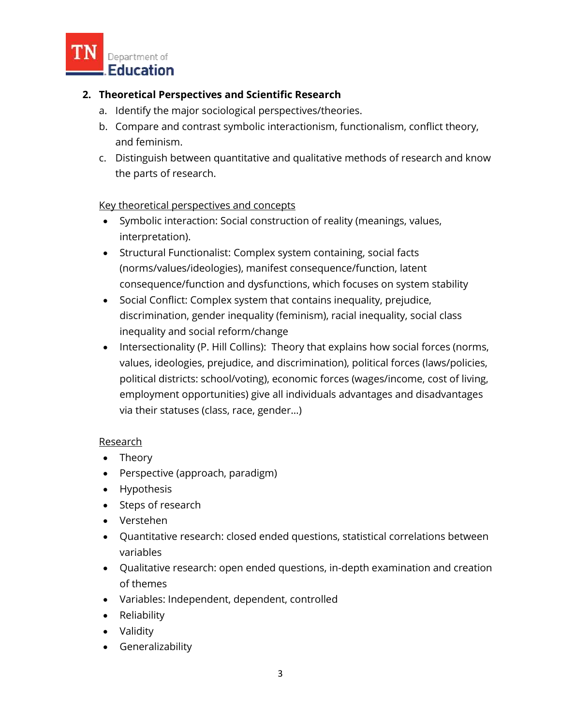

# **2. Theoretical Perspectives and Scientific Research**

- a. Identify the major sociological perspectives/theories.
- b. Compare and contrast symbolic interactionism, functionalism, conflict theory, and feminism.
- c. Distinguish between quantitative and qualitative methods of research and know the parts of research.

#### Key theoretical perspectives and concepts

- Symbolic interaction: Social construction of reality (meanings, values, interpretation).
- Structural Functionalist: Complex system containing, social facts (norms/values/ideologies), manifest consequence/function, latent consequence/function and dysfunctions, which focuses on system stability
- Social Conflict: Complex system that contains inequality, prejudice, discrimination, gender inequality (feminism), racial inequality, social class inequality and social reform/change
- Intersectionality (P. Hill Collins): Theory that explains how social forces (norms, values, ideologies, prejudice, and discrimination), political forces (laws/policies, political districts: school/voting), economic forces (wages/income, cost of living, employment opportunities) give all individuals advantages and disadvantages via their statuses (class, race, gender…)

#### Research

- Theory
- Perspective (approach, paradigm)
- Hypothesis
- Steps of research
- Verstehen
- Quantitative research: closed ended questions, statistical correlations between variables
- Qualitative research: open ended questions, in-depth examination and creation of themes
- Variables: Independent, dependent, controlled
- Reliability
- Validity
- Generalizability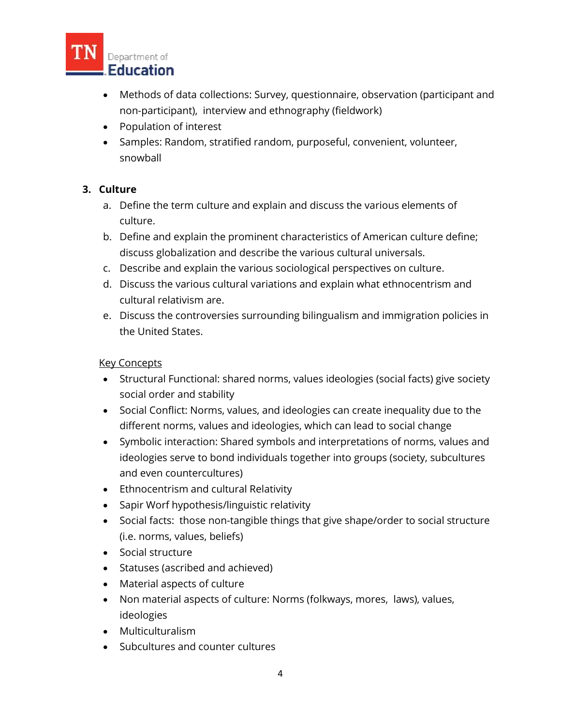

- Methods of data collections: Survey, questionnaire, observation (participant and non-participant), interview and ethnography (fieldwork)
- Population of interest
- Samples: Random, stratified random, purposeful, convenient, volunteer, snowball

# **3. Culture**

- a. Define the term culture and explain and discuss the various elements of culture.
- b. Define and explain the prominent characteristics of American culture define; discuss globalization and describe the various cultural universals.
- c. Describe and explain the various sociological perspectives on culture.
- d. Discuss the various cultural variations and explain what ethnocentrism and cultural relativism are.
- e. Discuss the controversies surrounding bilingualism and immigration policies in the United States.

#### Key Concepts

- Structural Functional: shared norms, values ideologies (social facts) give society social order and stability
- Social Conflict: Norms, values, and ideologies can create inequality due to the different norms, values and ideologies, which can lead to social change
- Symbolic interaction: Shared symbols and interpretations of norms, values and ideologies serve to bond individuals together into groups (society, subcultures and even countercultures)
- Ethnocentrism and cultural Relativity
- Sapir Worf hypothesis/linguistic relativity
- Social facts: those non-tangible things that give shape/order to social structure (i.e. norms, values, beliefs)
- Social structure
- Statuses (ascribed and achieved)
- Material aspects of culture
- Non material aspects of culture: Norms (folkways, mores, laws), values, ideologies
- Multiculturalism
- Subcultures and counter cultures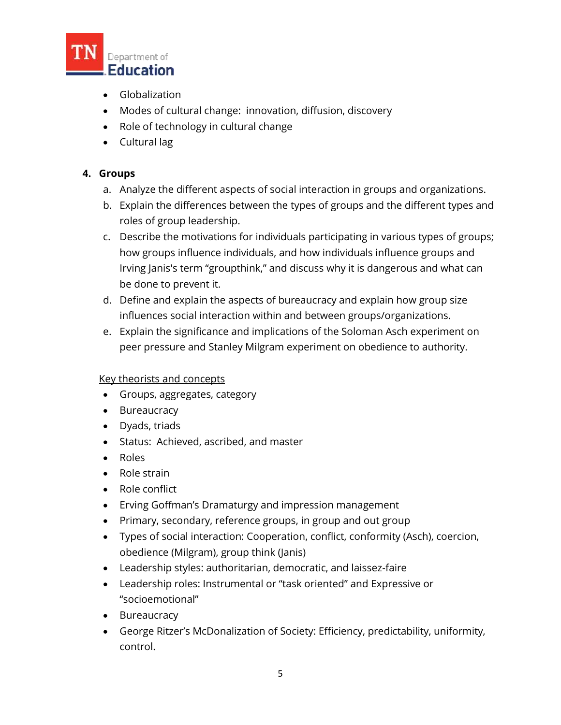

- Globalization
- Modes of cultural change: innovation, diffusion, discovery
- Role of technology in cultural change
- Cultural lag

# **4. Groups**

- a. Analyze the different aspects of social interaction in groups and organizations.
- b. Explain the differences between the types of groups and the different types and roles of group leadership.
- c. Describe the motivations for individuals participating in various types of groups; how groups influence individuals, and how individuals influence groups and Irving Janis's term "groupthink," and discuss why it is dangerous and what can be done to prevent it.
- d. Define and explain the aspects of bureaucracy and explain how group size influences social interaction within and between groups/organizations.
- e. Explain the significance and implications of the Soloman Asch experiment on peer pressure and Stanley Milgram experiment on obedience to authority.

# Key theorists and concepts

- Groups, aggregates, category
- Bureaucracy
- Dyads, triads
- Status: Achieved, ascribed, and master
- Roles
- Role strain
- Role conflict
- Erving Goffman's Dramaturgy and impression management
- Primary, secondary, reference groups, in group and out group
- Types of social interaction: Cooperation, conflict, conformity (Asch), coercion, obedience (Milgram), group think (Janis)
- Leadership styles: authoritarian, democratic, and laissez-faire
- Leadership roles: Instrumental or "task oriented" and Expressive or "socioemotional"
- Bureaucracy
- George Ritzer's McDonalization of Society: Efficiency, predictability, uniformity, control.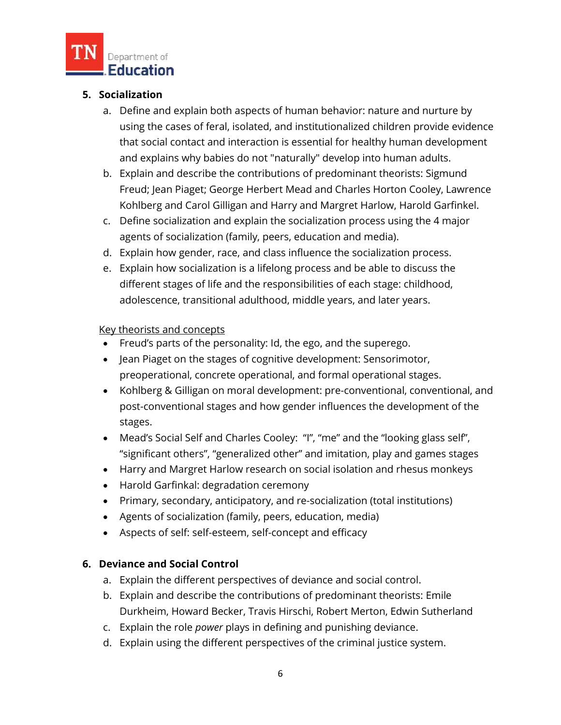

# **5. Socialization**

- a. Define and explain both aspects of human behavior: nature and nurture by using the cases of feral, isolated, and institutionalized children provide evidence that social contact and interaction is essential for healthy human development and explains why babies do not "naturally" develop into human adults.
- b. Explain and describe the contributions of predominant theorists: Sigmund Freud; Jean Piaget; George Herbert Mead and Charles Horton Cooley, Lawrence Kohlberg and Carol Gilligan and Harry and Margret Harlow, Harold Garfinkel.
- c. Define socialization and explain the socialization process using the 4 major agents of socialization (family, peers, education and media).
- d. Explain how gender, race, and class influence the socialization process.
- e. Explain how socialization is a lifelong process and be able to discuss the different stages of life and the responsibilities of each stage: childhood, adolescence, transitional adulthood, middle years, and later years.

#### Key theorists and concepts

- Freud's parts of the personality: Id, the ego, and the superego.
- Jean Piaget on the stages of cognitive development: Sensorimotor, preoperational, concrete operational, and formal operational stages.
- Kohlberg & Gilligan on moral development: pre-conventional, conventional, and post-conventional stages and how gender influences the development of the stages.
- Mead's Social Self and Charles Cooley: "I", "me" and the "looking glass self", "significant others", "generalized other" and imitation, play and games stages
- Harry and Margret Harlow research on social isolation and rhesus monkeys
- Harold Garfinkal: degradation ceremony
- Primary, secondary, anticipatory, and re-socialization (total institutions)
- Agents of socialization (family, peers, education, media)
- Aspects of self: self-esteem, self-concept and efficacy

#### **6. Deviance and Social Control**

- a. Explain the different perspectives of deviance and social control.
- b. Explain and describe the contributions of predominant theorists: Emile Durkheim, Howard Becker, Travis Hirschi, Robert Merton, Edwin Sutherland
- c. Explain the role *power* plays in defining and punishing deviance.
- d. Explain using the different perspectives of the criminal justice system.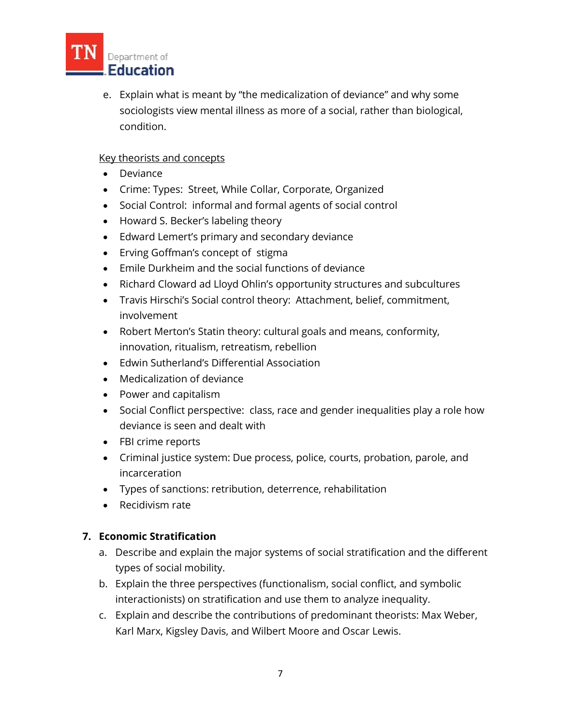

e. Explain what is meant by "the medicalization of deviance" and why some sociologists view mental illness as more of a social, rather than biological, condition.

# Key theorists and concepts

- Deviance
- Crime: Types: Street, While Collar, Corporate, Organized
- Social Control: informal and formal agents of social control
- Howard S. Becker's labeling theory
- Edward Lemert's primary and secondary deviance
- Erving Goffman's concept of stigma
- Emile Durkheim and the social functions of deviance
- Richard Cloward ad Lloyd Ohlin's opportunity structures and subcultures
- Travis Hirschi's Social control theory: Attachment, belief, commitment, involvement
- Robert Merton's Statin theory: cultural goals and means, conformity, innovation, ritualism, retreatism, rebellion
- Edwin Sutherland's Differential Association
- Medicalization of deviance
- Power and capitalism
- Social Conflict perspective: class, race and gender inequalities play a role how deviance is seen and dealt with
- FBI crime reports
- Criminal justice system: Due process, police, courts, probation, parole, and incarceration
- Types of sanctions: retribution, deterrence, rehabilitation
- Recidivism rate

#### **7. Economic Stratification**

- a. Describe and explain the major systems of social stratification and the different types of social mobility.
- b. Explain the three perspectives (functionalism, social conflict, and symbolic interactionists) on stratification and use them to analyze inequality.
- c. Explain and describe the contributions of predominant theorists: Max Weber, Karl Marx, Kigsley Davis, and Wilbert Moore and Oscar Lewis.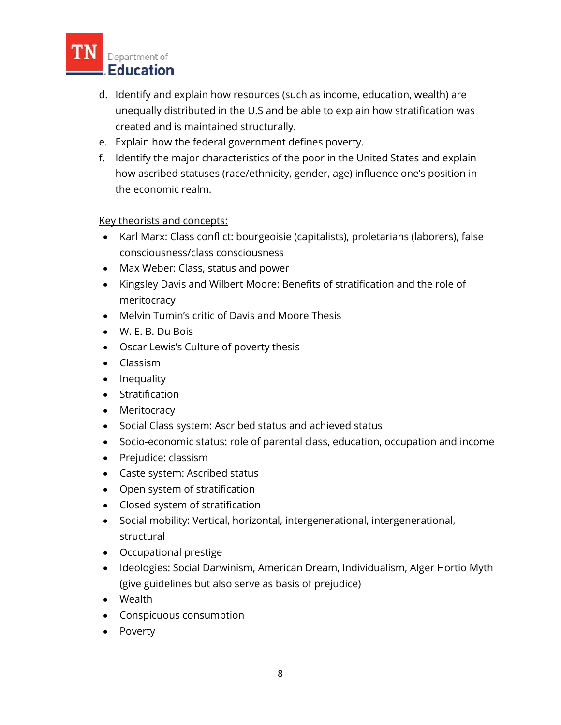

- d. Identify and explain how resources (such as income, education, wealth) are unequally distributed in the U.S and be able to explain how stratification was created and is maintained structurally.
- e. Explain how the federal government defines poverty.
- f. Identify the major characteristics of the poor in the United States and explain how ascribed statuses (race/ethnicity, gender, age) influence one's position in the economic realm.

#### Key theorists and concepts:

- Karl Marx: Class conflict: bourgeoisie (capitalists), proletarians (laborers), false consciousness/class consciousness
- Max Weber: Class, status and power
- Kingsley Davis and Wilbert Moore: Benefits of stratification and the role of meritocracy
- Melvin Tumin's critic of Davis and Moore Thesis
- W. E. B. Du Bois
- Oscar Lewis's Culture of poverty thesis
- Classism
- Inequality
- Stratification
- Meritocracy
- Social Class system: Ascribed status and achieved status
- Socio-economic status: role of parental class, education, occupation and income
- Prejudice: classism
- Caste system: Ascribed status
- Open system of stratification
- Closed system of stratification
- Social mobility: Vertical, horizontal, intergenerational, intergenerational, structural
- Occupational prestige
- Ideologies: Social Darwinism, American Dream, Individualism, Alger Hortio Myth (give guidelines but also serve as basis of prejudice)
- Wealth
- Conspicuous consumption
- Poverty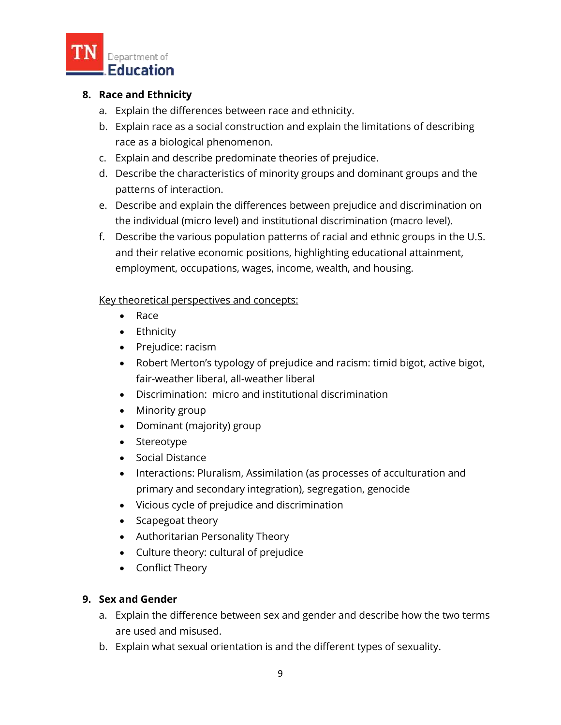

## **8. Race and Ethnicity**

- a. Explain the differences between race and ethnicity.
- b. Explain race as a social construction and explain the limitations of describing race as a biological phenomenon.
- c. Explain and describe predominate theories of prejudice.
- d. Describe the characteristics of minority groups and dominant groups and the patterns of interaction.
- e. Describe and explain the differences between prejudice and discrimination on the individual (micro level) and institutional discrimination (macro level).
- f. Describe the various population patterns of racial and ethnic groups in the U.S. and their relative economic positions, highlighting educational attainment, employment, occupations, wages, income, wealth, and housing.

#### Key theoretical perspectives and concepts:

- Race
- Ethnicity
- Prejudice: racism
- Robert Merton's typology of prejudice and racism: timid bigot, active bigot, fair-weather liberal, all-weather liberal
- Discrimination: micro and institutional discrimination
- Minority group
- Dominant (majority) group
- Stereotype
- Social Distance
- Interactions: Pluralism, Assimilation (as processes of acculturation and primary and secondary integration), segregation, genocide
- Vicious cycle of prejudice and discrimination
- Scapegoat theory
- Authoritarian Personality Theory
- Culture theory: cultural of prejudice
- Conflict Theory

#### **9. Sex and Gender**

- a. Explain the difference between sex and gender and describe how the two terms are used and misused.
- b. Explain what sexual orientation is and the different types of sexuality.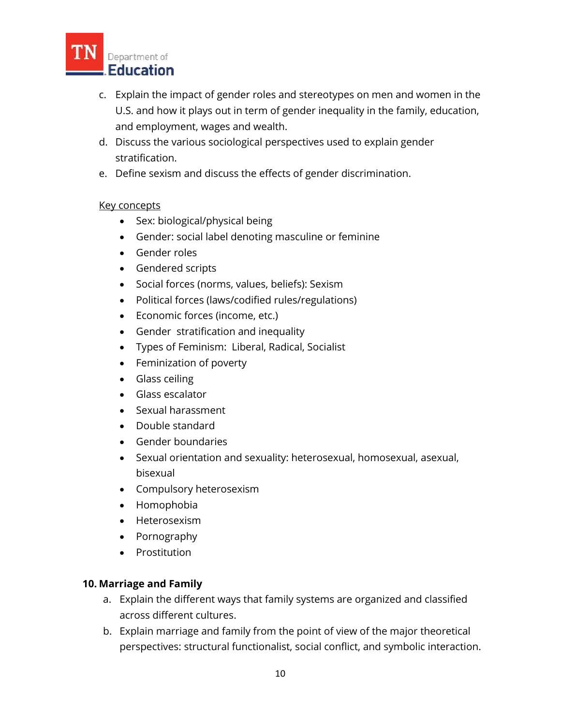

- c. Explain the impact of gender roles and stereotypes on men and women in the U.S. and how it plays out in term of gender inequality in the family, education, and employment, wages and wealth.
- d. Discuss the various sociological perspectives used to explain gender stratification.
- e. Define sexism and discuss the effects of gender discrimination.

## Key concepts

- Sex: biological/physical being
- Gender: social label denoting masculine or feminine
- Gender roles
- Gendered scripts
- Social forces (norms, values, beliefs): Sexism
- Political forces (laws/codified rules/regulations)
- Economic forces (income, etc.)
- Gender stratification and inequality
- Types of Feminism: Liberal, Radical, Socialist
- Feminization of poverty
- **•** Glass ceiling
- Glass escalator
- Sexual harassment
- Double standard
- Gender boundaries
- Sexual orientation and sexuality: heterosexual, homosexual, asexual, bisexual
- Compulsory heterosexism
- Homophobia
- Heterosexism
- Pornography
- Prostitution

#### **10. Marriage and Family**

- a. Explain the different ways that family systems are organized and classified across different cultures.
- b. Explain marriage and family from the point of view of the major theoretical perspectives: structural functionalist, social conflict, and symbolic interaction.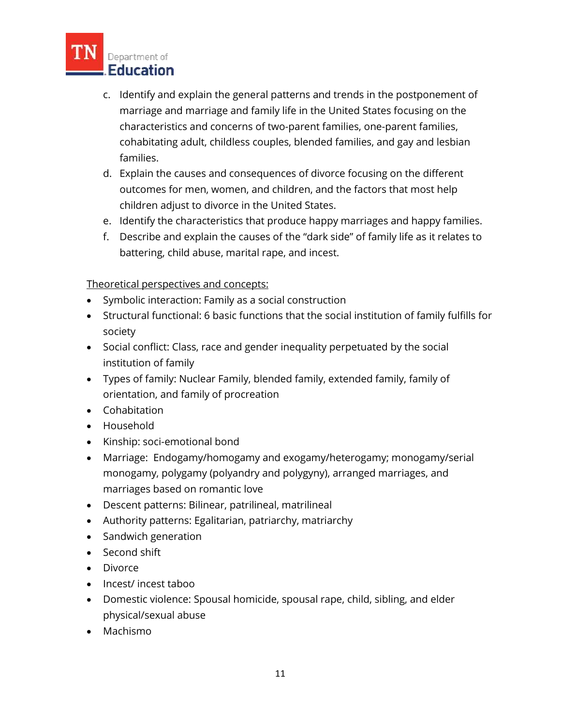

- c. Identify and explain the general patterns and trends in the postponement of marriage and marriage and family life in the United States focusing on the characteristics and concerns of two-parent families, one-parent families, cohabitating adult, childless couples, blended families, and gay and lesbian families.
- d. Explain the causes and consequences of divorce focusing on the different outcomes for men, women, and children, and the factors that most help children adjust to divorce in the United States.
- e. Identify the characteristics that produce happy marriages and happy families.
- f. Describe and explain the causes of the "dark side" of family life as it relates to battering, child abuse, marital rape, and incest.

# Theoretical perspectives and concepts:

- Symbolic interaction: Family as a social construction
- Structural functional: 6 basic functions that the social institution of family fulfills for society
- Social conflict: Class, race and gender inequality perpetuated by the social institution of family
- Types of family: Nuclear Family, blended family, extended family, family of orientation, and family of procreation
- Cohabitation
- Household
- Kinship: soci-emotional bond
- Marriage: Endogamy/homogamy and exogamy/heterogamy; monogamy/serial monogamy, polygamy (polyandry and polygyny), arranged marriages, and marriages based on romantic love
- Descent patterns: Bilinear, patrilineal, matrilineal
- Authority patterns: Egalitarian, patriarchy, matriarchy
- Sandwich generation
- Second shift
- Divorce
- Incest/ incest taboo
- Domestic violence: Spousal homicide, spousal rape, child, sibling, and elder physical/sexual abuse
- Machismo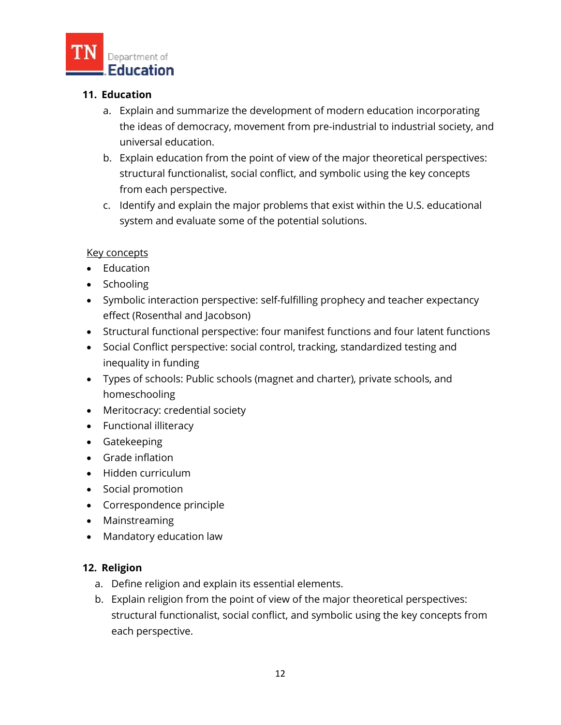

# **11. Education**

- a. Explain and summarize the development of modern education incorporating the ideas of democracy, movement from pre-industrial to industrial society, and universal education.
- b. Explain education from the point of view of the major theoretical perspectives: structural functionalist, social conflict, and symbolic using the key concepts from each perspective.
- c. Identify and explain the major problems that exist within the U.S. educational system and evaluate some of the potential solutions.

#### Key concepts

- Education
- Schooling
- Symbolic interaction perspective: self-fulfilling prophecy and teacher expectancy effect (Rosenthal and Jacobson)
- Structural functional perspective: four manifest functions and four latent functions
- Social Conflict perspective: social control, tracking, standardized testing and inequality in funding
- Types of schools: Public schools (magnet and charter), private schools, and homeschooling
- Meritocracy: credential society
- Functional illiteracy
- Gatekeeping
- Grade inflation
- Hidden curriculum
- Social promotion
- Correspondence principle
- Mainstreaming
- Mandatory education law

#### **12. Religion**

- a. Define religion and explain its essential elements.
- b. Explain religion from the point of view of the major theoretical perspectives: structural functionalist, social conflict, and symbolic using the key concepts from each perspective.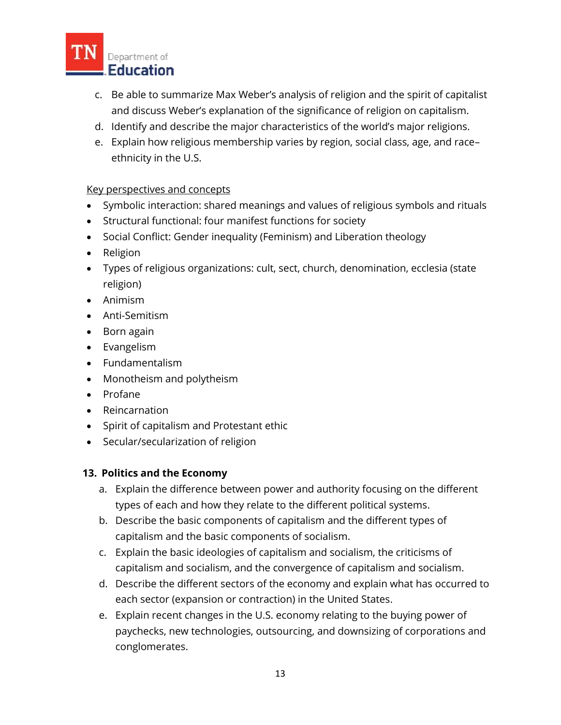

- c. Be able to summarize Max Weber's analysis of religion and the spirit of capitalist and discuss Weber's explanation of the significance of religion on capitalism.
- d. Identify and describe the major characteristics of the world's major religions.
- e. Explain how religious membership varies by region, social class, age, and race– ethnicity in the U.S.

## Key perspectives and concepts

- Symbolic interaction: shared meanings and values of religious symbols and rituals
- Structural functional: four manifest functions for society
- Social Conflict: Gender inequality (Feminism) and Liberation theology
- Religion
- Types of religious organizations: cult, sect, church, denomination, ecclesia (state religion)
- Animism
- Anti-Semitism
- Born again
- Evangelism
- Fundamentalism
- Monotheism and polytheism
- Profane
- Reincarnation
- Spirit of capitalism and Protestant ethic
- Secular/secularization of religion

#### **13. Politics and the Economy**

- a. Explain the difference between power and authority focusing on the different types of each and how they relate to the different political systems.
- b. Describe the basic components of capitalism and the different types of capitalism and the basic components of socialism.
- c. Explain the basic ideologies of capitalism and socialism, the criticisms of capitalism and socialism, and the convergence of capitalism and socialism.
- d. Describe the different sectors of the economy and explain what has occurred to each sector (expansion or contraction) in the United States.
- e. Explain recent changes in the U.S. economy relating to the buying power of paychecks, new technologies, outsourcing, and downsizing of corporations and conglomerates.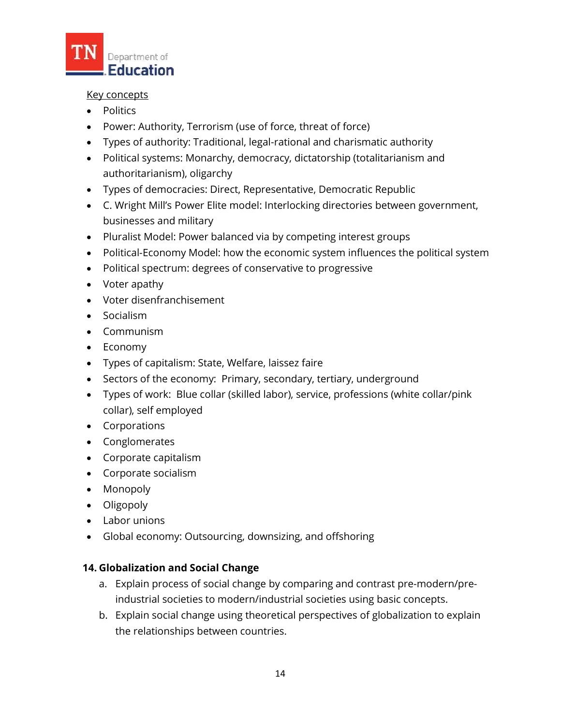

### Key concepts

- Politics
- Power: Authority, Terrorism (use of force, threat of force)
- Types of authority: Traditional, legal-rational and charismatic authority
- Political systems: Monarchy, democracy, dictatorship (totalitarianism and authoritarianism), oligarchy
- Types of democracies: Direct, Representative, Democratic Republic
- C. Wright Mill's Power Elite model: Interlocking directories between government, businesses and military
- Pluralist Model: Power balanced via by competing interest groups
- Political-Economy Model: how the economic system influences the political system
- Political spectrum: degrees of conservative to progressive
- Voter apathy
- Voter disenfranchisement
- Socialism
- Communism
- Economy
- Types of capitalism: State, Welfare, laissez faire
- Sectors of the economy: Primary, secondary, tertiary, underground
- Types of work: Blue collar (skilled labor), service, professions (white collar/pink collar), self employed
- Corporations
- Conglomerates
- Corporate capitalism
- Corporate socialism
- Monopoly
- Oligopoly
- Labor unions
- Global economy: Outsourcing, downsizing, and offshoring

# **14. Globalization and Social Change**

- a. Explain process of social change by comparing and contrast pre-modern/preindustrial societies to modern/industrial societies using basic concepts.
- b. Explain social change using theoretical perspectives of globalization to explain the relationships between countries.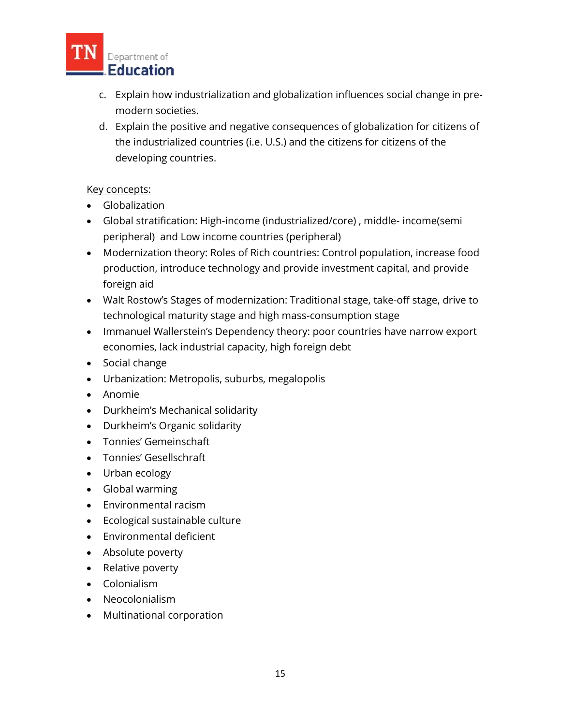

- c. Explain how industrialization and globalization influences social change in premodern societies.
- d. Explain the positive and negative consequences of globalization for citizens of the industrialized countries (i.e. U.S.) and the citizens for citizens of the developing countries.

## Key concepts:

- Globalization
- Global stratification: High-income (industrialized/core) , middle- income(semi peripheral) and Low income countries (peripheral)
- Modernization theory: Roles of Rich countries: Control population, increase food production, introduce technology and provide investment capital, and provide foreign aid
- Walt Rostow's Stages of modernization: Traditional stage, take-off stage, drive to technological maturity stage and high mass-consumption stage
- Immanuel Wallerstein's Dependency theory: poor countries have narrow export economies, lack industrial capacity, high foreign debt
- Social change
- Urbanization: Metropolis, suburbs, megalopolis
- Anomie
- Durkheim's Mechanical solidarity
- Durkheim's Organic solidarity
- Tonnies' Gemeinschaft
- Tonnies' Gesellschraft
- Urban ecology
- Global warming
- Environmental racism
- Ecological sustainable culture
- Environmental deficient
- Absolute poverty
- Relative poverty
- Colonialism
- Neocolonialism
- Multinational corporation